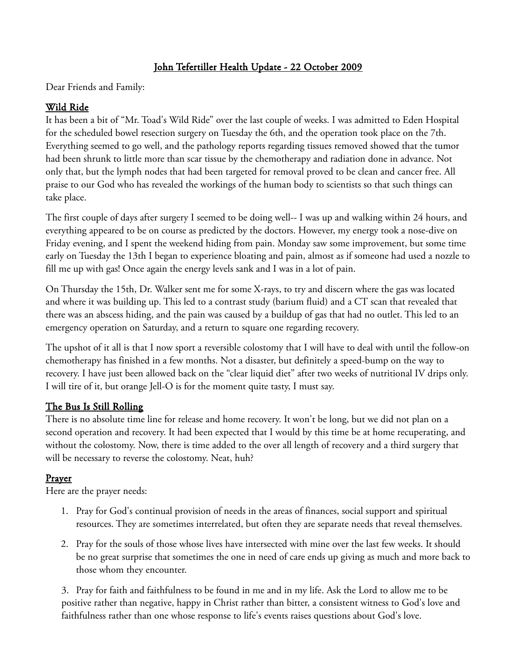## John Tefertiller Health Update - 22 October 2009

Dear Friends and Family:

## Wild Ride

It has been a bit of "Mr. Toad's Wild Ride" over the last couple of weeks. I was admitted to Eden Hospital for the scheduled bowel resection surgery on Tuesday the 6th, and the operation took place on the 7th. Everything seemed to go well, and the pathology reports regarding tissues removed showed that the tumor had been shrunk to little more than scar tissue by the chemotherapy and radiation done in advance. Not only that, but the lymph nodes that had been targeted for removal proved to be clean and cancer free. All praise to our God who has revealed the workings of the human body to scientists so that such things can take place.

The first couple of days after surgery I seemed to be doing well-- I was up and walking within 24 hours, and everything appeared to be on course as predicted by the doctors. However, my energy took a nose-dive on Friday evening, and I spent the weekend hiding from pain. Monday saw some improvement, but some time early on Tuesday the 13th I began to experience bloating and pain, almost as if someone had used a nozzle to fill me up with gas! Once again the energy levels sank and I was in a lot of pain.

On Thursday the 15th, Dr. Walker sent me for some X-rays, to try and discern where the gas was located and where it was building up. This led to a contrast study (barium fluid) and a CT scan that revealed that there was an abscess hiding, and the pain was caused by a buildup of gas that had no outlet. This led to an emergency operation on Saturday, and a return to square one regarding recovery.

The upshot of it all is that I now sport a reversible colostomy that I will have to deal with until the follow-on chemotherapy has finished in a few months. Not a disaster, but definitely a speed-bump on the way to recovery. I have just been allowed back on the "clear liquid diet" after two weeks of nutritional IV drips only. I will tire of it, but orange Jell-O is for the moment quite tasty, I must say.

## The Bus Is Still Rolling

There is no absolute time line for release and home recovery. It won't be long, but we did not plan on a second operation and recovery. It had been expected that I would by this time be at home recuperating, and without the colostomy. Now, there is time added to the over all length of recovery and a third surgery that will be necessary to reverse the colostomy. Neat, huh?

## **Prayer**

Here are the prayer needs:

- 1. Pray for God's continual provision of needs in the areas of finances, social support and spiritual resources. They are sometimes interrelated, but often they are separate needs that reveal themselves.
- 2. Pray for the souls of those whose lives have intersected with mine over the last few weeks. It should be no great surprise that sometimes the one in need of care ends up giving as much and more back to those whom they encounter.

3. Pray for faith and faithfulness to be found in me and in my life. Ask the Lord to allow me to be positive rather than negative, happy in Christ rather than bitter, a consistent witness to God's love and faithfulness rather than one whose response to life's events raises questions about God's love.